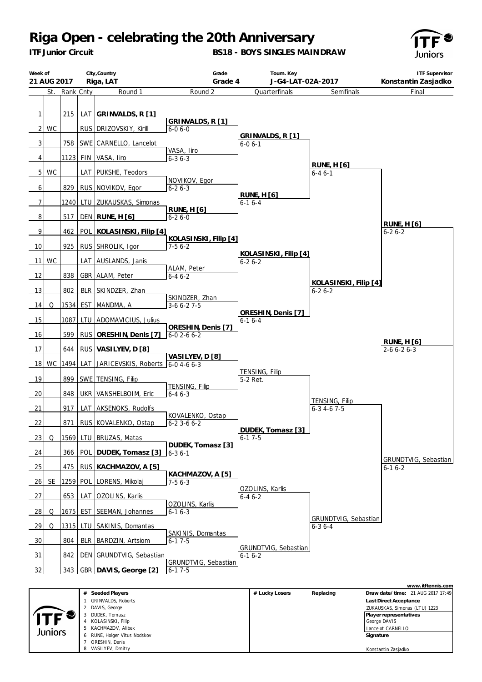*ITF Junior Circuit*

**BS18 - BOYS SINGLES MAINDRAW**



| Week of<br>21 AUG 2017 |           |               |            | City, Country<br>Riga, LAT       | Grade<br>Grade 4                        | Tourn. Key<br>J-G4-LAT-02A-2017      |                                       | <b>ITF Supervisor</b><br>Konstantin Zasjadko |
|------------------------|-----------|---------------|------------|----------------------------------|-----------------------------------------|--------------------------------------|---------------------------------------|----------------------------------------------|
|                        |           | St. Rank Cnty |            | Round 1                          | Round 2                                 | Quarterfinals                        | Semifinals                            | Final                                        |
|                        |           |               |            |                                  |                                         |                                      |                                       |                                              |
| $\mathbf{1}$           |           | 215           |            | LAT GRINVALDS, R [1]             |                                         |                                      |                                       |                                              |
|                        |           |               |            |                                  | GRINVALDS, R [1]                        |                                      |                                       |                                              |
| $2 \mid$               | <b>WC</b> |               |            | RUS DRIZOVSKIY, Kirill           | $6 - 06 - 0$                            | GRINVALDS, R [1]                     |                                       |                                              |
| 3                      |           | 758           |            | SWE CARNELLO, Lancelot           |                                         | $6 - 06 - 1$                         |                                       |                                              |
| $\overline{4}$         |           | 1123 FIN      |            | VASA, Iiro                       | VASA, Iiro<br>$6 - 36 - 3$              |                                      |                                       |                                              |
|                        |           |               |            |                                  |                                         |                                      | RUNE, $H[6]$                          |                                              |
| 5 <sub>1</sub>         | WC        |               |            | LAT PUKSHE, Teodors              | NOVIKOV, Egor                           |                                      | $6 - 46 - 1$                          |                                              |
| 6                      |           | 829           |            | RUS NOVIKOV, Egor                | $6 - 26 - 3$                            |                                      |                                       |                                              |
| $\boldsymbol{7}$       |           |               |            | 1240 LTU ZUKAUSKAS, Simonas      |                                         | RUNE, $H[6]$<br>$6 - 16 - 4$         |                                       |                                              |
|                        |           |               |            |                                  | <b>RUNE, H [6]</b>                      |                                      |                                       |                                              |
| 8                      |           | 517           |            | <b>DEN</b> RUNE, H [6]           | $6 - 26 - 0$                            |                                      |                                       | RUNE, $H[6]$                                 |
| $\overline{9}$         |           | 462           |            | POL KOLASINSKI, Filip [4]        |                                         |                                      |                                       | $6 - 26 - 2$                                 |
| 10                     |           | 925           |            | RUS SHROLIK, Igor                | KOLASINSKI, Filip [4]<br>$7-56-2$       |                                      |                                       |                                              |
|                        |           |               |            |                                  |                                         | KOLASINSKI, Filip [4]                |                                       |                                              |
| 11                     | WC        |               |            | LAT AUSLANDS, Janis              | ALAM, Peter                             | $6 - 26 - 2$                         |                                       |                                              |
| 12                     |           | 838           |            | GBR ALAM, Peter                  | $6 - 46 - 2$                            |                                      |                                       |                                              |
| 13                     |           | 802           | <b>BLR</b> | SKINDZER, Zhan                   |                                         |                                      | KOLASINSKI, Filip [4]<br>$6 - 26 - 2$ |                                              |
|                        |           |               |            |                                  | SKINDZER, Zhan                          |                                      |                                       |                                              |
| 14                     | Q         | 1534          | <b>EST</b> | MANDMA, A                        | $3-66-27-5$                             | ORESHIN, Denis [7]                   |                                       |                                              |
| 15                     |           | 1087          | LTU        | ADOMAVICIUS, Julius              |                                         | $6 - 16 - 4$                         |                                       |                                              |
| 16                     |           | 599           |            | RUS ORESHIN, Denis [7]           | ORESHIN, Denis [7]<br>$6 - 02 - 66 - 2$ |                                      |                                       |                                              |
|                        |           |               |            |                                  |                                         |                                      |                                       | <u>RUNE, H [6]</u>                           |
| 17                     |           | 644           |            | RUS VASILYEV, D [8]              | VASILYEV, D [8]                         |                                      |                                       | $2 - 6 6 - 2 6 - 3$                          |
| 18                     | WC        | 1494 LAT      |            | JARICEVSKIS, Roberts 6-0 4-6 6-3 |                                         |                                      |                                       |                                              |
| 19                     |           | 899           |            | SWE TENSING, Filip               |                                         | TENSING, Filip<br>5-2 Ret.           |                                       |                                              |
|                        |           |               |            |                                  | TENSING, Filip                          |                                      |                                       |                                              |
| 20                     |           | 848           |            | UKR VANSHELBOIM, Eric            | $6 - 46 - 3$                            |                                      | TENSING, Filip                        |                                              |
| 21                     |           | 917           |            | LAT AKSENOKS, Rudolfs            |                                         |                                      | $6 - 3$ 4 - 6 7 - 5                   |                                              |
| 22                     |           | 871           |            | RUS KOVALENKO, Ostap             | KOVALENKO, Ostap<br>$6-23-66-2$         |                                      |                                       |                                              |
|                        |           |               |            |                                  |                                         | DUDEK, Tomasz [3]                    |                                       |                                              |
| 23                     | Q         |               |            | 1569 LTU BRUZAS, Matas           | DUDEK, Tomasz [3]                       | $6 - 17 - 5$                         |                                       |                                              |
| 24                     |           |               |            | 366 POL DUDEK, Tomasz [3]        | $6 - 36 - 1$                            |                                      |                                       |                                              |
| 25                     |           |               |            | 475 RUS KACHMAZOV, A [5]         |                                         |                                      |                                       | GRUNDTVIG, Sebastian<br>$6 - 16 - 2$         |
|                        |           |               |            |                                  | KACHMAZOV, A [5]                        |                                      |                                       |                                              |
| 26                     | SE        |               |            | 1259 POL LORENS, Mikolaj         | $7-56-3$                                | OZOLINS, Karlis                      |                                       |                                              |
| 27                     |           | 653           | LAT        | OZOLINS, Karlis                  |                                         | $6 - 46 - 2$                         |                                       |                                              |
| 28                     | Q         | 1675 EST      |            | SEEMAN, Johannes                 | OZOLINS, Karlis<br>$6-16-3$             |                                      |                                       |                                              |
|                        |           |               |            |                                  |                                         |                                      | GRUNDTVIG, Sebastian                  |                                              |
| $\frac{29}{ }$         | Q         | 1315 LTU      |            | SAKINIS, Domantas                | SAKINIS, Domantas                       |                                      | $6 - 36 - 4$                          |                                              |
| $\frac{30}{2}$         |           | 804           | <b>BLR</b> | <b>BARDZIN, Artsiom</b>          | $6 - 17 - 5$                            |                                      |                                       |                                              |
| 31                     |           | 842           |            | DEN GRUNDTVIG, Sebastian         |                                         | GRUNDTVIG, Sebastian<br>$6 - 16 - 2$ |                                       |                                              |
|                        |           |               |            |                                  | GRUNDTVIG, Sebastian                    |                                      |                                       |                                              |
| 32                     |           |               |            | 343 GBR DAVIS, George [2]        | $6 - 17 - 5$                            |                                      |                                       |                                              |
|                        |           |               |            |                                  |                                         |                                      |                                       | www.itftennis.com                            |

|         | Seeded Players<br>#             | # Lucky Losers | Replacing | Draw date/time: 21 AUG 2017 17:49 |
|---------|---------------------------------|----------------|-----------|-----------------------------------|
|         | <b>GRINVALDS, Roberts</b>       |                |           | Last Direct Acceptance            |
|         | DAVIS, George                   |                |           | ZUKAUSKAS, Simonas (LTU) 1223     |
|         | DUDEK, Tomasz                   |                |           | Player representatives            |
|         | KOLASINSKI, Filip<br>4          |                |           | George DAVIS                      |
| Juniors | KACHMAZOV, Alibek<br>5          |                |           | Lancelot CARNELLO                 |
|         | RUNE, Holger Vitus Nodskov<br>6 |                |           | Signature                         |
|         | ORESHIN, Denis                  |                |           |                                   |
|         | VASILYEV, Dmitry                |                |           | Konstantin Zasjadko               |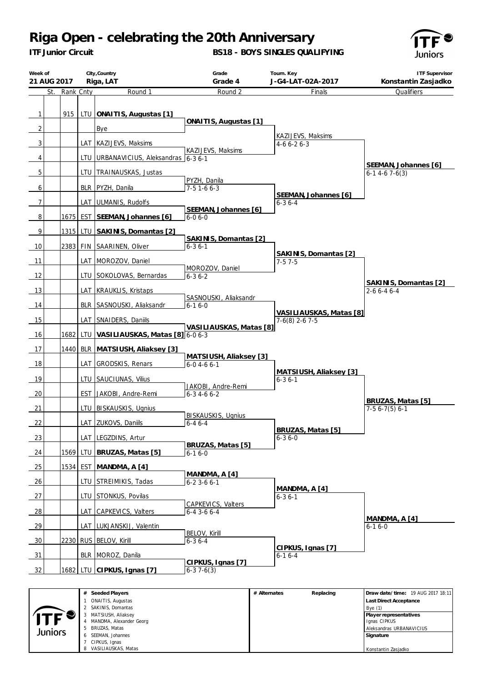*ITF Junior Circuit*

### **BS18 - BOYS SINGLES QUALIFYING**



| Week of        | 21 AUG 2017 |               |            | City, Country<br>Riga, LAT            | Grade<br>Grade 4                              |              | Tourn. Key<br>J-G4-LAT-02A-2017   | <b>ITF Supervisor</b><br>Konstantin Zasjadko               |
|----------------|-------------|---------------|------------|---------------------------------------|-----------------------------------------------|--------------|-----------------------------------|------------------------------------------------------------|
|                |             | St. Rank Cnty |            | Round 1                               | Round 2                                       |              | Finals                            | Qualifiers                                                 |
| $\mathbf{1}$   |             | 915           | LTU        | ONAITIS, Augustas [1]                 | ONAITIS, Augustas [1]                         |              |                                   |                                                            |
| $\overline{2}$ |             |               |            | Bye                                   |                                               |              |                                   |                                                            |
| 3              |             |               |            | LAT KAZIJEVS, Maksims                 |                                               |              | KAZIJEVS, Maksims<br>$4-66-26-3$  |                                                            |
|                |             |               |            |                                       | KAZIJEVS, Maksims                             |              |                                   |                                                            |
| 4              |             |               | LTU        | URBANAVICIUS, Aleksandras 6-3 6-1     |                                               |              |                                   | SEEMAN, Johannes [6]                                       |
| 5              |             |               | LTU        | TRAINAUSKAS, Justas                   |                                               |              |                                   | $6-1$ 4-6 7-6(3)                                           |
| 6              |             |               |            | BLR PYZH, Danila                      | PYZH, Danila<br>$7-5$ 1-6 6-3                 |              | SEEMAN, Johannes [6]              |                                                            |
| 7              |             |               |            | LAT ULMANIS, Rudolfs                  |                                               |              | $6 - 36 - 4$                      |                                                            |
| 8              |             |               |            | 1675 EST SEEMAN, Johannes [6]         | SEEMAN, Johannes [6]<br>$6 - 06 - 0$          |              |                                   |                                                            |
|                |             |               |            |                                       |                                               |              |                                   |                                                            |
| 9              |             |               |            | 1315 LTU SAKINIS, Domantas [2]        | SAKINIS, Domantas [2]                         |              |                                   |                                                            |
| 10             |             |               |            | 2383 FIN SAARINEN, Oliver             | $6 - 36 - 1$                                  |              |                                   |                                                            |
| 11             |             |               |            | LAT MOROZOV, Daniel                   |                                               |              | SAKINIS, Domantas [2]<br>$7-57-5$ |                                                            |
|                |             |               |            |                                       | MOROZOV, Daniel                               |              |                                   |                                                            |
| 12             |             |               |            | LTU SOKOLOVAS, Bernardas              | $6 - 36 - 2$                                  |              |                                   | SAKINIS, Domantas [2]                                      |
| 13             |             |               |            | LAT KRAUKLIS, Kristaps                |                                               |              |                                   | $2 - 66 - 46 - 4$                                          |
| 14             |             |               |            | BLR SASNOUSKI, Aliaksandr             | SASNOUSKI, Aliaksandr<br>$6 - 16 - 0$         |              |                                   |                                                            |
|                |             |               |            |                                       |                                               |              | VASILIAUSKAS, Matas [8]           |                                                            |
| 15             |             |               |            | LAT SNAIDERS, Daniils                 | VASILIAUSKAS, Matas [8]                       |              | $7-6(8)$ 2-6 7-5                  |                                                            |
| 16             |             | 1682          |            | LTU   VASILIAUSKAS, Matas [8] 6-0 6-3 |                                               |              |                                   |                                                            |
| 17             |             | 1440          |            | BLR MATSIUSH, Aliaksey [3]            |                                               |              |                                   |                                                            |
| 18             |             |               | LAT        | GRODSKIS, Renars                      | MATSIUSH, Aliaksey [3]<br>$6 - 0$ 4 - 6 6 - 1 |              |                                   |                                                            |
|                |             |               |            |                                       |                                               |              | MATSIUSH, Aliaksey [3]            |                                                            |
| 19             |             |               | LTU        | SAUCIUNAS, Vilius                     | JAKOBI, Andre-Remi                            |              | $6 - 36 - 1$                      |                                                            |
| 20             |             |               | <b>EST</b> | JAKOBI, Andre-Remi                    | $6 - 3$ 4 - 6 6 - 2                           |              |                                   |                                                            |
| 21             |             |               | LTU        | <b>BISKAUSKIS, Ugnius</b>             |                                               |              |                                   | BRUZAS, Matas [5]<br>$7-5$ 6-7(5) 6-1                      |
|                |             |               |            |                                       | <b>BISKAUSKIS, Ugnius</b>                     |              |                                   |                                                            |
| 22             |             |               |            | LAT ZUKOVS, Daniils                   | $6 - 46 - 4$                                  |              | BRUZAS, Matas [5]                 |                                                            |
| 23             |             |               |            | LAT LEGZDINS, Artur                   |                                               |              | $6 - 36 - 0$                      |                                                            |
| 24             |             | 1569          | LTU        | BRUZAS, Matas [5]                     | BRUZAS, Matas [5]<br>$6-16-0$                 |              |                                   |                                                            |
| 25             |             | 1534          | EST        | MANDMA, A [4]                         |                                               |              |                                   |                                                            |
| 26             |             |               | LTU        | STREIMIKIS, Tadas                     | MANDMA, A [4]<br>$6 - 23 - 66 - 1$            |              |                                   |                                                            |
| 27             |             |               |            | LTU STONKUS, Povilas                  |                                               |              | MANDMA, A [4]<br>$6 - 36 - 1$     |                                                            |
|                |             |               |            |                                       | CAPKEVICS, Valters                            |              |                                   |                                                            |
| 28             |             |               | LAT        | <b>CAPKEVICS, Valters</b>             | $6 - 4$ 3 - 6 $6 - 4$                         |              |                                   |                                                            |
| 29             |             |               | LAT        | LUKJANSKIJ, Valentin                  |                                               |              |                                   | MANDMA, A [4]<br>$6 - 16 - 0$                              |
| 30             |             |               |            | 2230 RUS BELOV, Kirill                | <b>BELOV, Kirill</b><br>$6 - 36 - 4$          |              |                                   |                                                            |
|                |             |               |            |                                       |                                               |              | CIPKUS, Ignas [7]                 |                                                            |
| 31             |             |               |            | BLR   MOROZ, Danila                   | CIPKUS, Ignas [7]                             |              | $6 - 16 - 4$                      |                                                            |
| 32             |             | 1682          | <b>LTU</b> | CIPKUS, Ignas [7]                     | $6-37-6(3)$                                   |              |                                   |                                                            |
|                |             |               |            |                                       |                                               |              |                                   |                                                            |
|                |             |               |            | # Seeded Players<br>ONAITIS Augustas  |                                               | # Alternates | Replacing                         | Draw date/time: 19 AUG 2017 18:11<br>ast Direct Accontance |

|         | # Seeded Players        | # Alternates | Replacing | Draw date/time: 19 AUG 2017 18:11 |
|---------|-------------------------|--------------|-----------|-----------------------------------|
|         | ONAITIS, Augustas       |              |           | Last Direct Acceptance            |
|         | 2 SAKINIS, Domantas     |              |           | Bve(1)                            |
|         | MATSIUSH, Aliaksey      |              |           | Player representatives            |
|         | MANDMA, Alexander Georg |              |           | Ignas CIPKUS                      |
| Juniors | 5 BRUZAS, Matas         |              |           | Aleksandras URBANAVICIUS          |
|         | SEEMAN, Johannes<br>6.  |              |           | Signature                         |
|         | CIPKUS, Ignas           |              |           |                                   |
|         | 8 VASILIAUSKAS, Matas   |              |           | Konstantin Zasjadko               |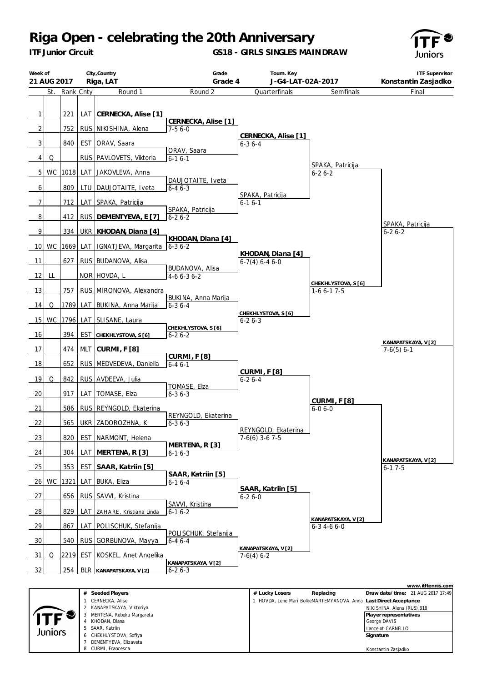*ITF Junior Circuit*

#### **GS18 - GIRLS SINGLES MAINDRAW**



| Week of        | 21 AUG 2017 |           |            | City, Country<br>Riga, LAT  | Grade<br>Grade 4                          | Tourn. Key<br>J-G4-LAT-02A-2017         |                                            | <b>ITF Supervisor</b><br>Konstantin Zasjadko |
|----------------|-------------|-----------|------------|-----------------------------|-------------------------------------------|-----------------------------------------|--------------------------------------------|----------------------------------------------|
|                | St.         | Rank Cnty |            | Round 1                     | Round 2                                   | Quarterfinals                           | Semifinals                                 | Final                                        |
| 1              |             | 221       | <b>LAT</b> | CERNECKA, Alise [1]         | CERNECKA, Alise [1]                       |                                         |                                            |                                              |
| $\overline{2}$ |             | 752       |            | RUS NIKISHINA, Alena        | $7-56-0$                                  |                                         |                                            |                                              |
| 3              |             | 840       | <b>EST</b> | ORAV, Saara                 |                                           | CERNECKA, Alise [1]<br>$6 - 36 - 4$     |                                            |                                              |
| 4              | Q           |           |            | RUS   PAVLOVETS, Viktoria   | ORAV, Saara<br>$6 - 16 - 1$               |                                         |                                            |                                              |
| 5              | WC          |           | 1018 LAT   | JAKOVLEVA, Anna             |                                           |                                         | SPAKA, Patricija<br>$6 - 26 - 2$           |                                              |
| 6              |             | 809       | LTU        | DAUJOTAITE, Iveta           | DAUJOTAITE, Iveta<br>$6 - 46 - 3$         |                                         |                                            |                                              |
| 7              |             | 712       | LAT        | SPAKA, Patricija            |                                           | SPAKA, Patricija<br>$6 - 16 - 1$        |                                            |                                              |
|                |             | 412       |            |                             | SPAKA, Patricija                          |                                         |                                            |                                              |
| 8              |             |           | <b>RUS</b> | DEMENTYEVA, E [7]           | $6 - 26 - 2$                              |                                         |                                            | SPAKA, Patricija                             |
| 9              |             | 334       | <b>UKR</b> | KHODAN, Diana [4]           | KHODAN, Diana [4]                         |                                         |                                            | $6 - 26 - 2$                                 |
|                | 10 WC       | 1669      | LAT        | IGNATJEVA, Margarita        | $6 - 36 - 2$                              |                                         |                                            |                                              |
| 11             |             | 627       |            | RUS BUDANOVA, Alisa         | BUDANOVA, Alisa                           | KHODAN, Diana [4]<br>$6-7(4)$ 6-4 6-0   |                                            |                                              |
| 12             | LL          |           |            | NOR HOVDA, L                | $4-66-36-2$                               |                                         |                                            |                                              |
| 13             |             | 757       |            | RUS MIRONOVA, Alexandra     |                                           |                                         | CHEKHLYSTOVA, S [6]<br>$1-66-17-5$         |                                              |
| 14             | Q           | 1789      |            | LAT BUKINA, Anna Marija     | BUKINA, Anna Marija<br>$6 - 36 - 4$       |                                         |                                            |                                              |
| 15             | WC          |           |            | 1796 LAT SLISANE, Laura     |                                           | CHEKHLYSTOVA, S [6]<br>$6 - 26 - 3$     |                                            |                                              |
| 16             |             | 394       | <b>EST</b> | CHEKHLYSTOVA, S [6]         | CHEKHLYSTOVA, S [6]<br>$6 - 26 - 2$       |                                         |                                            |                                              |
| 17             |             | 474       | <b>MLT</b> | CURMI, F [8]                |                                           |                                         |                                            | KANAPATSKAYA, V[2]<br>$7-6(5)$ 6-1           |
| 18             |             | 652       |            | RUS MEDVEDEVA, Daniella     | CURMI, F [8]<br>$6 - 46 - 1$              |                                         |                                            |                                              |
| 19             | Q           | 842       |            | RUS AVDEEVA, Julia          |                                           | <b>CURMI, F [8]</b><br>$6 - 26 - 4$     |                                            |                                              |
| 20             |             | 917       | LAT        | TOMASE, Elza                | TOMASE, Elza<br>$6 - 36 - 3$              |                                         |                                            |                                              |
| 21             |             | 586       | <b>RUS</b> | REYNGOLD, Ekaterina         |                                           |                                         | <b>CURMI, F [8]</b><br>$6 - 06 - 0$        |                                              |
| 22             |             | 565       |            | UKR ZADOROZHNA, K           | REYNGOLD, Ekaterina<br>$6 - 36 - 3$       |                                         |                                            |                                              |
| 23             |             | 820       | <b>EST</b> | NARMONT, Helena             |                                           | REYNGOLD, Ekaterina<br>$7-6(6)$ 3-6 7-5 |                                            |                                              |
| - 24           |             | 304       | LAT        | MERTENA, R [3]              | MERTENA, R [3]<br>$6 - 16 - 3$            |                                         |                                            |                                              |
| 25             |             | 353       | <b>EST</b> | SAAR, Katriin [5]           |                                           |                                         |                                            | KANAPATSKAYA, V[2]<br>$6 - 17 - 5$           |
| <b>26</b>      | WC          | 1321      | LAT        | BUKA, Eliza                 | SAAR, Katriin [5]<br>$6 - 16 - 4$         |                                         |                                            |                                              |
| 27             |             | 656       | RUS        | SAWI, Kristina              |                                           | SAAR, Katriin [5]<br>$6 - 26 - 0$       |                                            |                                              |
| <u>28</u>      |             | 829       |            | LAT ZAHARE, Kristiana Linda | SAVVI, Kristina<br>$6 - 16 - 2$           |                                         |                                            |                                              |
| <u>29</u>      |             | 867       |            | LAT POLISCHUK, Stefanija    |                                           |                                         | KANAPATSKAYA, V [2]<br>$6 - 3$ 4 - 6 6 - 0 |                                              |
| 30             |             | 540       |            | RUS GORBUNOVA, Mayya        | POLISCHUK, Stefanija<br>$6 - 46 - 4$      |                                         |                                            |                                              |
| 31             | Q           |           | 2219 EST   | KOSKEL, Anet Angelika       |                                           | KANAPATSKAYA, V[2]<br>$7-6(4)$ 6-2      |                                            |                                              |
| 32             |             | 254       |            | BLR KANAPATSKAYA, V[2]      | <u>KANAPATSKAYA, V[2]</u><br>$6 - 26 - 3$ |                                         |                                            |                                              |
|                |             |           |            |                             |                                           |                                         |                                            | www.itftennis.com                            |

|         |                           |                                                                  | <u> vvvvvu. ILI LOHIHIJ. COHI</u> |
|---------|---------------------------|------------------------------------------------------------------|-----------------------------------|
|         | Seeded Players<br>#       | # Lucky Losers<br>Replacing                                      | Draw date/time: 21 AUG 2017 17:49 |
|         | CERNECKA, Alise           | HOVDA, Lene Mari BolkeMARTEMYANOVA, Annal Last Direct Acceptance |                                   |
|         | 2 KANAPATSKAYA, Viktoriya |                                                                  | NIKISHINA, Alena (RUS) 918        |
| ITF     | MERTENA, Rebeka Margareta |                                                                  | Player representatives            |
|         | KHODAN, Diana             |                                                                  | George DAVIS                      |
| Juniors | 5 SAAR, Katriin           |                                                                  | Lancelot CARNELLO                 |
|         | 6 CHEKHLYSTOVA, Sofiya    |                                                                  | Signature                         |
|         | DEMENTYEVA, Elizaveta     |                                                                  |                                   |
|         | 8 CURMI, Francesca        |                                                                  | Konstantin Zasjadko               |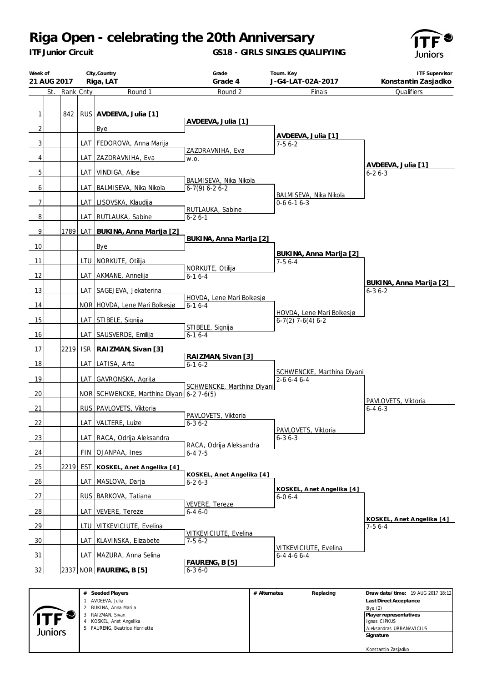*ITF Junior Circuit*

### **GS18 - GIRLS SINGLES QUALIFYING**



| Week of<br>21 AUG 2017         |               |            | City, Country<br>Riga, LAT                | Grade<br>Grade 4                           | Tourn. Key<br>J-G4-LAT-02A-2017                  | <b>ITF Supervisor</b><br>Konstantin Zasjadko |
|--------------------------------|---------------|------------|-------------------------------------------|--------------------------------------------|--------------------------------------------------|----------------------------------------------|
|                                | St. Rank Cnty |            | Round 1                                   | Round 2                                    | Finals                                           | Qualifiers                                   |
| $\mathbf{1}$<br>$\overline{2}$ | 842           |            | RUS AVDEEVA, Julia [1]<br>Bye             | AVDEEVA, Julia [1]                         | AVDEEVA, Julia [1]                               |                                              |
| $\overline{3}$                 |               |            | LAT   FEDOROVA, Anna Marija               | ZAZDRAVNIHA, Eva                           | $7-56-2$                                         |                                              |
| 4                              |               |            | LAT ZAZDRAVNIHA, Eva                      | W.O.                                       |                                                  | AVDEEVA, Julia [1]                           |
| 5                              |               | LAT        | VINDIGA, Alise                            |                                            |                                                  | $6 - 26 - 3$                                 |
| 6                              |               | LAT        | BALMISEVA, Nika Nikola                    | BALMISEVA, Nika Nikola<br>$6-7(9)$ 6-2 6-2 | BALMISEVA, Nika Nikola                           |                                              |
| $\overline{7}$                 |               |            | LAT LISOVSKA, Klaudija                    |                                            | $0-66-16-3$                                      |                                              |
| 8                              |               |            | LAT RUTLAUKA, Sabine                      | RUTLAUKA, Sabine<br>$6 - 26 - 1$           |                                                  |                                              |
| 9                              |               |            | 1789 LAT BUKINA, Anna Marija [2]          |                                            |                                                  |                                              |
| 10                             |               |            | Bye                                       | BUKINA, Anna Marija [2]                    |                                                  |                                              |
| 11                             |               |            | LTU   NORKUTE, Otilija                    |                                            | BUKINA, Anna Marija [2]<br>$7-56-4$              |                                              |
| 12                             |               |            | LAT AKMANE, Annelija                      | NORKUTE, Otilija<br>$6 - 16 - 4$           |                                                  |                                              |
| 13                             |               |            | LAT SAGEJEVA, Jekaterina                  |                                            |                                                  | BUKINA, Anna Marija [2]<br>$6 - 36 - 2$      |
| 14                             |               |            | NOR HOVDA, Lene Mari Bolkesjø             | HOVDA, Lene Mari Bolkesjø<br>$6 - 16 - 4$  |                                                  |                                              |
| 15                             |               |            | LAT STIBELE, Signija                      | STIBELE, Signija                           | HOVDA, Lene Mari Bolkesjø<br>$6-7(2)$ 7-6(4) 6-2 |                                              |
| 16                             |               | LAT        | SAUSVERDE, Emilija                        | $6 - 16 - 4$                               |                                                  |                                              |
| 17                             | 2219          | <b>ISR</b> | RAIZMAN, Sivan [3]                        |                                            |                                                  |                                              |
| 18                             |               | LAT        | LATISA, Arta                              | RAIZMAN, Sivan [3]<br>$6 - 16 - 2$         | SCHWENCKE, Marthina Diyani                       |                                              |
| 19                             |               |            | LAT GAVRONSKA, Agrita                     |                                            | $2 - 66 - 46 - 4$                                |                                              |
| 20                             |               |            | NOR SCHWENCKE, Marthina Diyani 6-2 7-6(5) | SCHWENCKE, Marthina Diyani                 |                                                  | PAVLOVETS, Viktoria                          |
| 21                             |               |            | RUS PAVLOVETS, Viktoria                   |                                            |                                                  | $6 - 46 - 3$                                 |
| 22                             |               |            | LAT VALTERE, Luize                        | PAVLOVETS, Viktoria<br>$6 - 36 - 2$        | PAVLOVETS, Viktoria                              |                                              |
| 23                             |               |            | LAT RACA, Odrija Aleksandra               |                                            | $6 - 36 - 3$                                     |                                              |
| 24                             |               |            | FIN OJANPAA, Ines                         | RACA, Odrija Aleksandra<br>$6 - 47 - 5$    |                                                  |                                              |
| 25                             | 2219 EST      |            | KOSKEL, Anet Angelika [4]                 |                                            |                                                  |                                              |
| 26                             |               |            | LAT MASLOVA, Darja                        | KOSKEL, Anet Angelika [4]<br>$6 - 26 - 3$  |                                                  |                                              |
| 27                             |               |            | RUS BARKOVA, Tatiana                      |                                            | KOSKEL, Anet Angelika [4]<br>$6 - 06 - 4$        |                                              |
| 28                             |               |            | LAT VEVERE, Tereze                        | VEVERE, Tereze<br>$6 - 46 - 0$             |                                                  |                                              |
| 29                             |               |            | LTU VITKEVICIUTE, Evelina                 |                                            |                                                  | KOSKEL, Anet Angelika [4]<br>$7-56-4$        |
| 30                             |               |            | LAT KLAVINSKA, Elizabete                  | VITKEVICIUTE, Evelina<br>$7-56-2$          |                                                  |                                              |
| 31                             |               |            | LAT MAZURA, Anna Selina                   |                                            | VITKEVICIUTE, Evelina<br>$6 - 4$ 4 - 6 6 - 4     |                                              |
| 32                             |               |            | 2337 NOR FAURENG, B [5]                   | FAURENG, B [5]<br>$6 - 36 - 0$             |                                                  |                                              |
|                                |               |            |                                           |                                            |                                                  |                                              |

|            | # Seeded Players              | # Alternates | Replacing | Draw date/time: 19 AUG 2017 18:12 |
|------------|-------------------------------|--------------|-----------|-----------------------------------|
|            | AVDEEVA, Julia                |              |           | <b>Last Direct Acceptance</b>     |
|            | 2 BUKINA, Anna Marija         |              |           | Bye(2)                            |
| <b>ITF</b> | RAIZMAN, Sivan                |              |           | Player representatives            |
|            | 4 KOSKEL, Anet Angelika       |              |           | Ignas CIPKUS                      |
| Juniors    | 5 FAURENG, Beatrice Henriette |              |           | Aleksandras URBANAVICIUS          |
|            |                               |              |           | Signature                         |
|            |                               |              |           |                                   |
|            |                               |              |           | Konstantin Zasjadko               |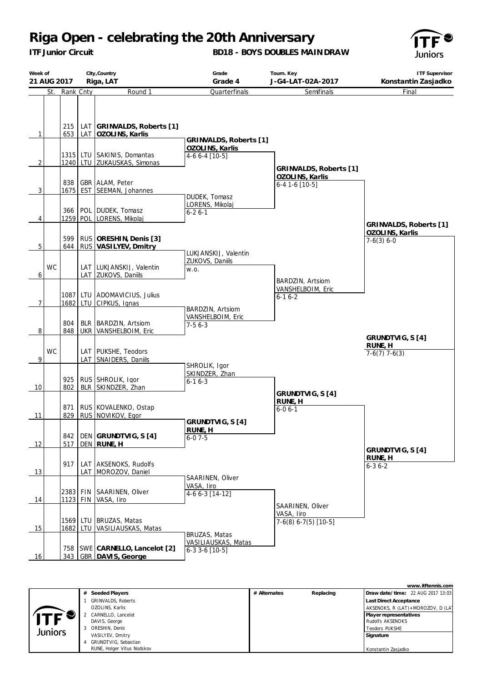*ITF Junior Circuit*

### **BD18 - BOYS DOUBLES MAINDRAW**



| Week of        | City, Country<br>21 AUG 2017<br>Riga, LAT |            |  | Grade<br>Grade 4                                          | Tourn. Key<br>J-G4-LAT-02A-2017                              | <b>ITF Supervisor</b><br>Konstantin Zasjadko |                                 |
|----------------|-------------------------------------------|------------|--|-----------------------------------------------------------|--------------------------------------------------------------|----------------------------------------------|---------------------------------|
|                | St.                                       | Rank Cnty  |  | Round 1                                                   | Quarterfinals                                                | Semifinals                                   | Final                           |
| $\mathbf{1}$   |                                           | 215        |  | LAT GRINVALDS, Roberts [1]<br>653   LAT   OZOLINS, Karlis |                                                              |                                              |                                 |
| $\overline{2}$ |                                           |            |  | 1315 LTU SAKINIS, Domantas<br>1240 LTU ZUKAUSKAS, Simonas | GRINVALDS, Roberts [1]<br>OZOLINS, Karlis<br>$4-66-4$ [10-5] | GRINVALDS, Roberts [1]                       |                                 |
| $\overline{3}$ |                                           | 838        |  | GBR ALAM, Peter<br>1675 EST SEEMAN, Johannes              | DUDEK, Tomasz                                                | OZOLINS, Karlis<br>$6-41-6$ [10-5]           |                                 |
| 4              |                                           | 366        |  | POL DUDEK, Tomasz<br>1259 POL LORENS, Mikolaj             | LORENS, Mikolaj<br>$6 - 26 - 1$                              |                                              | GRINVALDS, Roberts [1]          |
| 5              |                                           | 599        |  | RUS ORESHIN, Denis [3]<br>644 RUS VASILYEV, Dmitry        | LUKJANSKIJ, Valentin                                         |                                              | OZOLINS, Karlis<br>$7-6(3) 6-0$ |
| 6              | <b>WC</b>                                 |            |  | LAT LUKJANSKIJ, Valentin<br>LAT ZUKOVS, Daniils           | ZUKOVS, Daniils<br>W.O.                                      | BARDZIN, Artsiom                             |                                 |
| $\overline{7}$ |                                           |            |  | 1087 LTU ADOMAVICIUS, Julius<br>1682 LTU CIPKUS, Ignas    | BARDZIN, Artsiom                                             | VANSHELBOIM, Eric<br>$6 - 16 - 2$            |                                 |
| 8              |                                           | 804<br>848 |  | BLR   BARDZIN, Artsiom<br>UKR VANSHELBOIM, Eric           | VANSHELBOIM, Eric<br>$7-56-3$                                |                                              | GRUNDTVIG, S [4]                |
| 9              | <b>WC</b>                                 |            |  | LAT   PUKSHE, Teodors<br>LAT SNAIDERS, Daniils            | SHROLIK, Igor                                                |                                              | RUNE, H<br>$7-6(7)$ 7-6(3)      |
| 10             |                                           | 925<br>802 |  | RUS SHROLIK, Igor<br>BLR SKINDZER, Zhan                   | SKINDZER, Zhan<br>$6 - 16 - 3$                               | GRUNDTVIG, S [4]                             |                                 |
| 11             |                                           | 871        |  | RUS KOVALENKO, Ostap<br>829   RUS   NOVIKOV, Egor         | GRUNDTVIG, S [4]                                             | RUNE, H<br>$6 - 06 - 1$                      |                                 |
| 12             |                                           | 517        |  | 842   DEN GRUNDTVIG, S [4]<br>DEN RUNE, H                 | RUNE, H<br>$6 - 07 - 5$                                      |                                              | GRUNDTVIG, S [4]                |
| 13             |                                           | 917        |  | LAT AKSENOKS, Rudolfs<br>LAT MOROZOV, Daniel              | SAARINEN, Oliver                                             |                                              | RUNE, H<br>$6 - 36 - 2$         |
| 14             |                                           |            |  | 2383 FIN SAARINEN, Oliver<br>1123 FIN VASA, Iiro          | VASA, Iiro<br>$4-66-3$ [14-12]                               | SAARINEN, Oliver                             |                                 |
| 15             |                                           |            |  | 1569 LTU BRUZAS, Matas<br>1682 LTU VASILIAUSKAS, Matas    | BRUZAS, Matas                                                | VASA, liro<br>$7-6(8)$ 6-7(5) [10-5]         |                                 |
| 16             |                                           |            |  | 758   SWE CARNELLO, Lancelot [2]<br>343 GBR DAVIS, George | VASILIAUSKAS, Matas<br>$6-33-6$ [10-5]                       |                                              |                                 |

|         |                            |              |           | www.itftennis.com                 |
|---------|----------------------------|--------------|-----------|-----------------------------------|
|         | # Seeded Players           | # Alternates | Replacing | Draw date/time: 22 AUG 2017 13:03 |
|         | <b>GRINVALDS, Roberts</b>  |              |           | <b>Last Direct Acceptance</b>     |
|         | OZOLINS, Karlis            |              |           | AKSENOKS, R (LAT)+MOROZOV, D (LAT |
|         | CARNELLO, Lancelot         |              |           | Player representatives            |
|         | DAVIS, George              |              |           | Rudolfs AKSENOKS                  |
| Juniors | ORESHIN, Denis             |              |           | <b>Teodors PUKSHE</b>             |
|         | VASILYEV, Dmitry           |              |           | Signature                         |
|         | GRUNDTVIG, Sebastian       |              |           |                                   |
|         | RUNE, Holger Vitus Nodskov |              |           | Konstantin Zasjadko               |